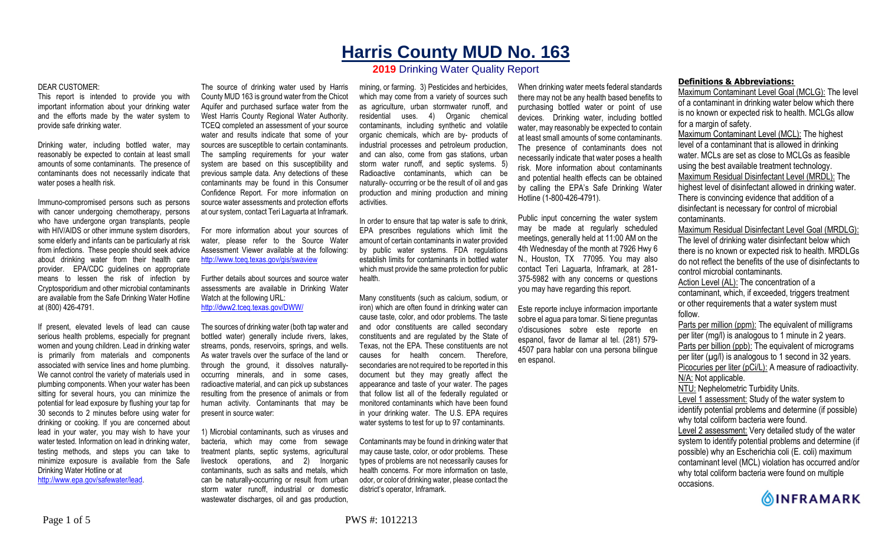# **Harris County MUD No. 163**

## **2019** Drinking Water Quality Report

#### DEAR CUSTOMER:

This report is intended to provide you with important information about your drinking water and the efforts made by the water system to provide safe drinking water.

Drinking water, including bottled water, may reasonably be expected to contain at least small amounts of some contaminants. The presence of contaminants does not necessarily indicate that water poses a health risk.

Immuno-compromised persons such as persons with cancer undergoing chemotherapy, persons who have undergone organ transplants, people with HIV/AIDS or other immune system disorders, some elderly and infants can be particularly at risk from infections. These people should seek advice about drinking water from their health care provider. EPA/CDC guidelines on appropriate means to lessen the risk of infection by Cryptosporidium and other microbial contaminants are available from the Safe Drinking Water Hotline at (800) 426-4791.

If present, elevated levels of lead can cause serious health problems, especially for pregnant women and young children. Lead in drinking water is primarily from materials and components associated with service lines and home plumbing. We cannot control the variety of materials used in plumbing components. When your water has been sitting for several hours, you can minimize the potential for lead exposure by flushing your tap for 30 seconds to 2 minutes before using water for drinking or cooking. If you are concerned about lead in your water, you may wish to have your water tested. Information on lead in drinking water, testing methods, and steps you can take to minimize exposure is available from the Safe Drinking Water Hotline or at http://www.epa.gov/safewater/lead.

The source of drinking water used by Harris County MUD 163 is ground water from the Chicot Aquifer and purchased surface water from the West Harris County Regional Water Authority. TCEQ completed an assessment of your source water and results indicate that some of your sources are susceptible to certain contaminants. The sampling requirements for your water system are based on this susceptibility and previous sample data. Any detections of these contaminants may be found in this Consumer Confidence Report. For more information on source water assessments and protection efforts at our system, contact Teri Laguarta at Inframark.

For more information about your sources of water, please refer to the Source Water Assessment Viewer available at the following: http://www.tceq.texas.gov/gis/swaview

Further details about sources and source water assessments are available in Drinking Water Watch at the following URL: http://dww2.tceq.texas.gov/DWW/

The sources of drinking water (both tap water and bottled water) generally include rivers, lakes, streams, ponds, reservoirs, springs, and wells. As water travels over the surface of the land or through the ground, it dissolves naturallyoccurring minerals, and in some cases, radioactive material, and can pick up substances resulting from the presence of animals or from human activity. Contaminants that may be present in source water:

1) Microbial contaminants, such as viruses and bacteria, which may come from sewage treatment plants, septic systems, agricultural livestock operations, and 2) Inorganic contaminants, such as salts and metals, which can be naturally-occurring or result from urban storm water runoff, industrial or domestic wastewater discharges, oil and gas production.

mining, or farming. 3) Pesticides and herbicides, which may come from a variety of sources such as agriculture, urban stormwater runoff, and residential uses. 4) Organic chemical contaminants, including synthetic and volatile organic chemicals, which are by- products of industrial processes and petroleum production, and can also, come from gas stations, urban storm water runoff, and septic systems. 5) Radioactive contaminants, which can be naturally- occurring or be the result of oil and gas production and mining production and mining activities.

In order to ensure that tap water is safe to drink, EPA prescribes regulations which limit the amount of certain contaminants in water provided by public water systems. FDA regulations establish limits for contaminants in bottled water which must provide the same protection for public health.

Many constituents (such as calcium, sodium, or iron) which are often found in drinking water can cause taste, color, and odor problems. The taste and odor constituents are called secondary constituents and are regulated by the State of Texas, not the EPA. These constituents are not causes for health concern. Therefore, secondaries are not required to be reported in this document but they may greatly affect the appearance and taste of your water. The pages that follow list all of the federally regulated or monitored contaminants which have been found in your drinking water. The U.S. EPA requires water systems to test for up to 97 contaminants.

Contaminants may be found in drinking water that may cause taste, color, or odor problems. These types of problems are not necessarily causes for health concerns. For more information on taste, odor, or color of drinking water, please contact the district's operator, Inframark.

When drinking water meets federal standards there may not be any health based benefits to purchasing bottled water or point of use devices. Drinking water, including bottled water, may reasonably be expected to contain at least small amounts of some contaminants. The presence of contaminants does not necessarily indicate that water poses a health risk. More information about contaminants and potential health effects can be obtained by calling the EPA's Safe Drinking Water Hotline (1-800-426-4791).

Public input concerning the water system may be made at regularly scheduled meetings, generally held at 11:00 AM on the 4th Wednesday of the month at 7926 Hwy 6 N., Houston, TX 77095. You may also contact Teri Laguarta, Inframark, at 281- 375-5982 with any concerns or questions you may have regarding this report.

Este reporte incluye informacion importante sobre el agua para tomar. Si tiene preguntas o'discusiones sobre este reporte en espanol, favor de llamar al tel. (281) 579- 4507 para hablar con una persona bilingue en espanol.

### **Definitions & Abbreviations:**

Maximum Contaminant Level Goal (MCLG): The level of a contaminant in drinking water below which there is no known or expected risk to health. MCLGs allow for a margin of safety.

Maximum Contaminant Level (MCL): The highest level of a contaminant that is allowed in drinking water. MCLs are set as close to MCLGs as feasible using the best available treatment technology. Maximum Residual Disinfectant Level (MRDL): The highest level of disinfectant allowed in drinking water. There is convincing evidence that addition of a disinfectant is necessary for control of microbial contaminants.

Maximum Residual Disinfectant Level Goal (MRDLG): The level of drinking water disinfectant below which there is no known or expected risk to health. MRDLGs do not reflect the benefits of the use of disinfectants to control microbial contaminants.

Action Level (AL): The concentration of a contaminant, which, if exceeded, triggers treatment or other requirements that a water system must follow.

Parts per million (ppm): The equivalent of milligrams per liter (mg/l) is analogous to 1 minute in 2 years. Parts per billion (ppb): The equivalent of micrograms per liter  $(\mu g/l)$  is analogous to 1 second in 32 years. Picocuries per liter (pCi/L): A measure of radioactivity. N/A: Not applicable. NTU: Nephelometric Turbidity Units. Level 1 assessment: Study of the water system to identify potential problems and determine (if possible)

why total coliform bacteria were found. Level 2 assessment: Very detailed study of the water

system to identify potential problems and determine (if possible) why an Escherichia coli (E. coli) maximum contaminant level (MCL) violation has occurred and/or why total coliform bacteria were found on multiple occasions.

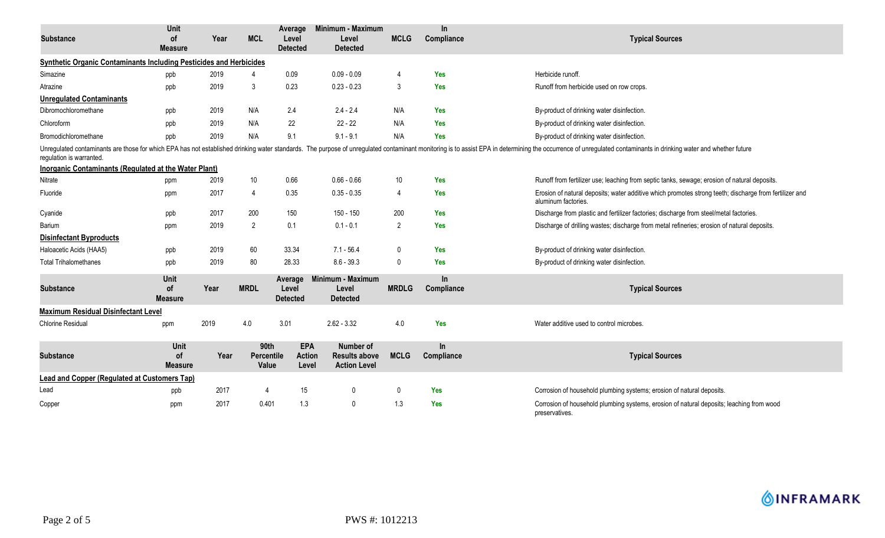| <b>Substance</b>                                                                                                                                                                                                                                           | Unit<br><b>of</b>                   | Year | <b>MCL</b>          | Average<br>Level                    | Minimum - Maximum<br>Level                    | <b>MCLG</b>    | In.<br>Compliance | <b>Typical Sources</b>                                                                                                        |  |  |  |  |
|------------------------------------------------------------------------------------------------------------------------------------------------------------------------------------------------------------------------------------------------------------|-------------------------------------|------|---------------------|-------------------------------------|-----------------------------------------------|----------------|-------------------|-------------------------------------------------------------------------------------------------------------------------------|--|--|--|--|
|                                                                                                                                                                                                                                                            | <b>Measure</b>                      |      |                     | <b>Detected</b>                     | <b>Detected</b>                               |                |                   |                                                                                                                               |  |  |  |  |
| Synthetic Organic Contaminants Including Pesticides and Herbicides                                                                                                                                                                                         |                                     |      |                     |                                     |                                               |                |                   |                                                                                                                               |  |  |  |  |
| Simazine                                                                                                                                                                                                                                                   | ppb                                 | 2019 |                     | 0.09                                | $0.09 - 0.09$                                 | 4              | Yes               | Herbicide runoff.                                                                                                             |  |  |  |  |
| Atrazine                                                                                                                                                                                                                                                   | ppb                                 | 2019 | 3                   | 0.23                                | $0.23 - 0.23$                                 | 3              | <b>Yes</b>        | Runoff from herbicide used on row crops.                                                                                      |  |  |  |  |
| <b>Unregulated Contaminants</b>                                                                                                                                                                                                                            |                                     |      |                     |                                     |                                               |                |                   |                                                                                                                               |  |  |  |  |
| Dibromochloromethane                                                                                                                                                                                                                                       | ppb                                 | 2019 | N/A                 | 2.4                                 | $2.4 - 2.4$                                   | N/A            | <b>Yes</b>        | By-product of drinking water disinfection.                                                                                    |  |  |  |  |
| Chloroform                                                                                                                                                                                                                                                 | ppb                                 | 2019 | N/A                 | 22                                  | $22 - 22$                                     | N/A            | Yes               | By-product of drinking water disinfection.                                                                                    |  |  |  |  |
| Bromodichloromethane                                                                                                                                                                                                                                       | ppb                                 | 2019 | N/A                 | 9.1                                 | $9.1 - 9.1$                                   | N/A            | <b>Yes</b>        | By-product of drinking water disinfection.                                                                                    |  |  |  |  |
| Unregulated contaminants are those for which EPA has not established drinking water standards. The purpose of unregulated contaminant monitoring is to assist EPA in determining the occurrence of unregulated contaminants in<br>requlation is warranted. |                                     |      |                     |                                     |                                               |                |                   |                                                                                                                               |  |  |  |  |
| <b>Inorganic Contaminants (Regulated at the Water Plant)</b>                                                                                                                                                                                               |                                     |      |                     |                                     |                                               |                |                   |                                                                                                                               |  |  |  |  |
| Nitrate                                                                                                                                                                                                                                                    | ppm                                 | 2019 | 10                  | 0.66                                | $0.66 - 0.66$                                 | 10             | Yes               | Runoff from fertilizer use; leaching from septic tanks, sewage; erosion of natural deposits.                                  |  |  |  |  |
| Fluoride                                                                                                                                                                                                                                                   | ppm                                 | 2017 | 4                   | 0.35                                | $0.35 - 0.35$                                 | 4              | Yes               | Erosion of natural deposits; water additive which promotes strong teeth; discharge from fertilizer and<br>aluminum factories. |  |  |  |  |
| Cyanide                                                                                                                                                                                                                                                    | ppb                                 | 2017 | 200                 | 150                                 | 150 - 150                                     | 200            | <b>Yes</b>        | Discharge from plastic and fertilizer factories; discharge from steel/metal factories.                                        |  |  |  |  |
| Barium                                                                                                                                                                                                                                                     | ppm                                 | 2019 | $\overline{2}$      | 0.1                                 | $0.1 - 0.1$                                   | $\overline{2}$ | <b>Yes</b>        | Discharge of drilling wastes; discharge from metal refineries; erosion of natural deposits.                                   |  |  |  |  |
| <b>Disinfectant Byproducts</b>                                                                                                                                                                                                                             |                                     |      |                     |                                     |                                               |                |                   |                                                                                                                               |  |  |  |  |
| Haloacetic Acids (HAA5)                                                                                                                                                                                                                                    | ppb                                 | 2019 | 60                  | 33.34                               | $7.1 - 56.4$                                  | $\mathbf{0}$   | <b>Yes</b>        | By-product of drinking water disinfection.                                                                                    |  |  |  |  |
| <b>Total Trihalomethanes</b>                                                                                                                                                                                                                               | ppb                                 | 2019 | 80                  | 28.33                               | $8.6 - 39.3$                                  | $\mathbf 0$    | <b>Yes</b>        | By-product of drinking water disinfection.                                                                                    |  |  |  |  |
| <b>Substance</b>                                                                                                                                                                                                                                           | Unit<br><b>of</b><br><b>Measure</b> | Year | <b>MRDL</b>         | Average<br>Level<br><b>Detected</b> | Minimum - Maximum<br>Level<br><b>Detected</b> | <b>MRDLG</b>   | In<br>Compliance  | <b>Typical Sources</b>                                                                                                        |  |  |  |  |
| <b>Maximum Residual Disinfectant Level</b>                                                                                                                                                                                                                 |                                     |      |                     |                                     |                                               |                |                   |                                                                                                                               |  |  |  |  |
| <b>Chlorine Residual</b>                                                                                                                                                                                                                                   | ppm                                 | 2019 | 4.0                 | 3.01                                | $2.62 - 3.32$                                 | 4.0            | Yes               | Water additive used to control microbes.                                                                                      |  |  |  |  |
|                                                                                                                                                                                                                                                            | Unit                                |      | 90th                | <b>EPA</b>                          | <b>Number of</b>                              |                | <b>In</b>         |                                                                                                                               |  |  |  |  |
| <b>Substance</b>                                                                                                                                                                                                                                           | <b>of</b><br><b>Measure</b>         | Year | Percentile<br>Value | <b>Action</b><br>Level              | <b>Results above</b><br><b>Action Level</b>   | <b>MCLG</b>    | Compliance        | <b>Typical Sources</b>                                                                                                        |  |  |  |  |
| <b>Lead and Copper (Regulated at Customers Tap)</b>                                                                                                                                                                                                        |                                     |      |                     |                                     |                                               |                |                   |                                                                                                                               |  |  |  |  |
| Lead                                                                                                                                                                                                                                                       | ppb                                 | 2017 | 4                   | 15                                  | 0                                             | 0              | Yes               | Corrosion of household plumbing systems; erosion of natural deposits.                                                         |  |  |  |  |
| Copper                                                                                                                                                                                                                                                     | ppm                                 | 2017 | 0.401               | 1.3                                 | $\mathbf 0$                                   | 1.3            | <b>Yes</b>        | Corrosion of household plumbing systems, erosion of natural deposits; leaching from wood<br>preservatives.                    |  |  |  |  |

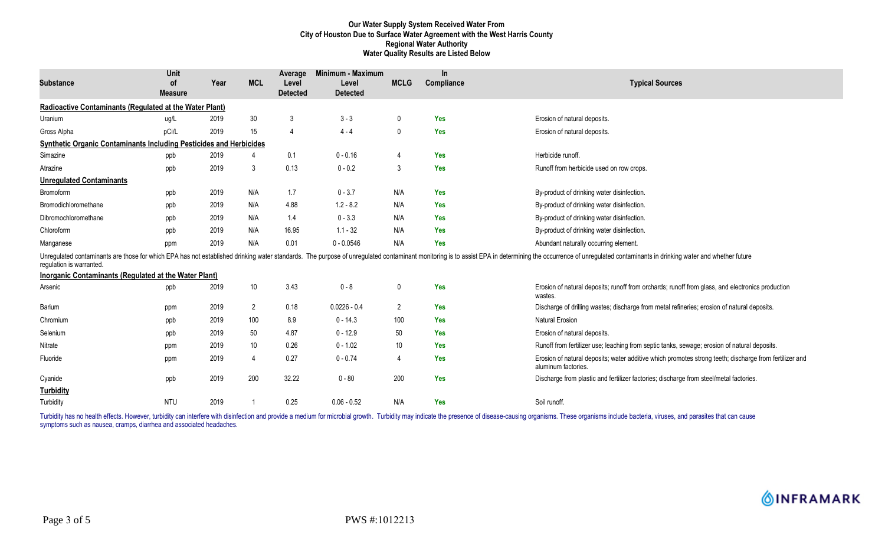### **Our Water Supply System Received Water From City of Houston Due to Surface Water Agreement with the West Harris County Regional Water Authority Water Quality Results are Listed Below**

| <b>Substance</b>                                                          | Unit<br><b>of</b><br><b>Measure</b> | Year | <b>MCL</b>      | Average<br>Level<br><b>Detected</b> | Minimum - Maximum<br>Level<br><b>Detected</b> | <b>MCLG</b>    | In.<br>Compliance | <b>Typical Sources</b>                                                                                                                                                                                                         |
|---------------------------------------------------------------------------|-------------------------------------|------|-----------------|-------------------------------------|-----------------------------------------------|----------------|-------------------|--------------------------------------------------------------------------------------------------------------------------------------------------------------------------------------------------------------------------------|
| Radioactive Contaminants (Regulated at the Water Plant)                   |                                     |      |                 |                                     |                                               |                |                   |                                                                                                                                                                                                                                |
| Uranium                                                                   | ug/L                                | 2019 | 30              | 3                                   | $3 - 3$                                       | 0              | Yes               | Erosion of natural deposits.                                                                                                                                                                                                   |
| Gross Alpha                                                               | pCi/L                               | 2019 | 15              | $\overline{4}$                      | $4 - 4$                                       | $\mathbf{0}$   | <b>Yes</b>        | Erosion of natural deposits.                                                                                                                                                                                                   |
| <b>Synthetic Organic Contaminants Including Pesticides and Herbicides</b> |                                     |      |                 |                                     |                                               |                |                   |                                                                                                                                                                                                                                |
| Simazine                                                                  | ppb                                 | 2019 | Δ               | 0.1                                 | $0 - 0.16$                                    | 4              | Yes               | Herbicide runoff.                                                                                                                                                                                                              |
| Atrazine                                                                  | ppb                                 | 2019 | 3               | 0.13                                | $0 - 0.2$                                     | 3              | Yes               | Runoff from herbicide used on row crops.                                                                                                                                                                                       |
| <b>Unregulated Contaminants</b>                                           |                                     |      |                 |                                     |                                               |                |                   |                                                                                                                                                                                                                                |
| Bromoform                                                                 | ppb                                 | 2019 | N/A             | 1.7                                 | $0 - 3.7$                                     | N/A            | Yes               | By-product of drinking water disinfection.                                                                                                                                                                                     |
| Bromodichloromethane                                                      | ppb                                 | 2019 | N/A             | 4.88                                | $1.2 - 8.2$                                   | N/A            | <b>Yes</b>        | By-product of drinking water disinfection.                                                                                                                                                                                     |
| Dibromochloromethane                                                      | ppb                                 | 2019 | N/A             | 1.4                                 | $0 - 3.3$                                     | N/A            | <b>Yes</b>        | By-product of drinking water disinfection.                                                                                                                                                                                     |
| Chloroform                                                                | ppb                                 | 2019 | N/A             | 16.95                               | $1.1 - 32$                                    | N/A            | <b>Yes</b>        | By-product of drinking water disinfection.                                                                                                                                                                                     |
| Manganese                                                                 | ppm                                 | 2019 | N/A             | 0.01                                | $0 - 0.0546$                                  | N/A            | <b>Yes</b>        | Abundant naturally occurring element.                                                                                                                                                                                          |
| requlation is warranted.                                                  |                                     |      |                 |                                     |                                               |                |                   | Unregulated contaminants are those for which EPA has not established drinking water standards. The purpose of unregulated contaminant monitoring is to assist EPA in determining the occurrence of unregulated contaminants in |
| Inorganic Contaminants (Regulated at the Water Plant)                     |                                     |      |                 |                                     |                                               |                |                   |                                                                                                                                                                                                                                |
| Arsenic                                                                   | ppb                                 | 2019 | $10\,$          | 3.43                                | $0 - 8$                                       | 0              | <b>Yes</b>        | Erosion of natural deposits; runoff from orchards; runoff from glass, and electronics production<br>wastes.                                                                                                                    |
| Barium                                                                    | ppm                                 | 2019 | $\overline{2}$  | 0.18                                | $0.0226 - 0.4$                                | $\overline{2}$ | Yes               | Discharge of drilling wastes; discharge from metal refineries; erosion of natural deposits.                                                                                                                                    |
| Chromium                                                                  | ppb                                 | 2019 | 100             | 8.9                                 | $0 - 14.3$                                    | 100            | Yes               | <b>Natural Erosion</b>                                                                                                                                                                                                         |
| Selenium                                                                  | ppb                                 | 2019 | 50              | 4.87                                | $0 - 12.9$                                    | 50             | <b>Yes</b>        | Erosion of natural deposits.                                                                                                                                                                                                   |
| Nitrate                                                                   | ppm                                 | 2019 | 10 <sup>°</sup> | 0.26                                | $0 - 1.02$                                    | 10             | Yes               | Runoff from fertilizer use; leaching from septic tanks, sewage; erosion of natural deposits.                                                                                                                                   |
| Fluoride                                                                  | ppm                                 | 2019 | $\overline{4}$  | 0.27                                | $0 - 0.74$                                    | 4              | <b>Yes</b>        | Erosion of natural deposits; water additive which promotes strong teeth; discharge from fertilizer and<br>aluminum factories.                                                                                                  |
| Cyanide                                                                   | ppb                                 | 2019 | 200             | 32.22                               | $0 - 80$                                      | 200            | Yes               | Discharge from plastic and fertilizer factories; discharge from steel/metal factories.                                                                                                                                         |
| <b>Turbidity</b>                                                          |                                     |      |                 |                                     |                                               |                |                   |                                                                                                                                                                                                                                |
| Turbidity                                                                 | <b>NTU</b>                          | 2019 |                 | 0.25                                | $0.06 - 0.52$                                 | N/A            | Yes               | Soil runoff.                                                                                                                                                                                                                   |

Turbidity has no health effects. However, turbidity can interfere with disinfection and provide a medium for microbial growth. Turbidity may indicate the presence of disease-causing organisms. These organisms include bacte symptoms such as nausea, cramps, diarrhea and associated headaches.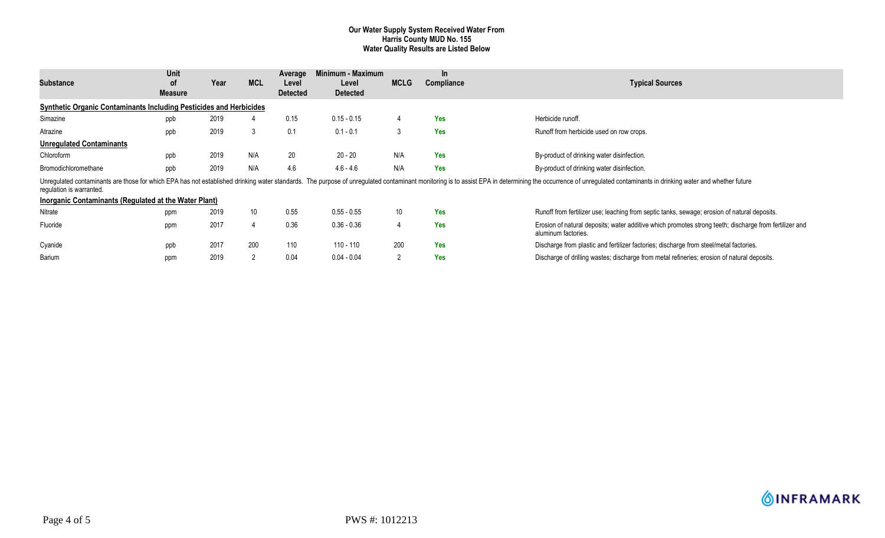#### **Our Water Supply System Received Water From Harris County MUD No. 155 Water Quality Results are Listed Below**

| <b>Substance</b>                                                                                                                                                                                                                                                                                                    | Unit<br>0f<br>Measure | Year | <b>MCL</b>      | Average<br>Level<br><b>Detected</b> | Minimum - Maximum<br>Level<br><b>Detected</b> | <b>MCLG</b>     | $\ln$<br>Compliance | Typical Sources                                                                                                               |  |
|---------------------------------------------------------------------------------------------------------------------------------------------------------------------------------------------------------------------------------------------------------------------------------------------------------------------|-----------------------|------|-----------------|-------------------------------------|-----------------------------------------------|-----------------|---------------------|-------------------------------------------------------------------------------------------------------------------------------|--|
| <b>Synthetic Organic Contaminants Including Pesticides and Herbicides</b>                                                                                                                                                                                                                                           |                       |      |                 |                                     |                                               |                 |                     |                                                                                                                               |  |
| Simazine                                                                                                                                                                                                                                                                                                            | ppb                   | 2019 |                 | 0.15                                | $0.15 - 0.15$                                 |                 | <b>Yes</b>          | Herbicide runoff.                                                                                                             |  |
| Atrazine                                                                                                                                                                                                                                                                                                            | ppb                   | 2019 | 3               | 0.1                                 | $0.1 - 0.1$                                   | 3               | Yes                 | Runoff from herbicide used on row crops.                                                                                      |  |
| <b>Unregulated Contaminants</b>                                                                                                                                                                                                                                                                                     |                       |      |                 |                                     |                                               |                 |                     |                                                                                                                               |  |
| Chloroform                                                                                                                                                                                                                                                                                                          | ppb                   | 2019 | N/A             | 20                                  | $20 - 20$                                     | N/A             | <b>Yes</b>          | By-product of drinking water disinfection.                                                                                    |  |
| Bromodichloromethane                                                                                                                                                                                                                                                                                                | ppb                   | 2019 | N/A             | 4.6                                 | $4.6 - 4.6$                                   | N/A             | <b>Yes</b>          | By-product of drinking water disinfection.                                                                                    |  |
| Unregulated contaminants are those for which EPA has not established drinking water standards. The purpose of unregulated contaminant monitoring is to assist EPA in determining the occurrence of unregulated contaminants in<br>regulation is warranted.<br>Inorganic Contaminants (Regulated at the Water Plant) |                       |      |                 |                                     |                                               |                 |                     |                                                                                                                               |  |
| Nitrate                                                                                                                                                                                                                                                                                                             | ppm                   | 2019 | 10 <sup>°</sup> | 0.55                                | $0.55 - 0.55$                                 | 10 <sup>°</sup> | Yes                 | Runoff from fertilizer use; leaching from septic tanks, sewage; erosion of natural deposits.                                  |  |
| Fluoride                                                                                                                                                                                                                                                                                                            | ppm                   | 2017 |                 | 0.36                                | $0.36 - 0.36$                                 | 4               | <b>Yes</b>          | Erosion of natural deposits; water additive which promotes strong teeth; discharge from fertilizer and<br>aluminum factories. |  |
| Cyanide                                                                                                                                                                                                                                                                                                             | ppb                   | 2017 | 200             | 110                                 | 110 - 110                                     | 200             | Yes                 | Discharge from plastic and fertilizer factories; discharge from steel/metal factories.                                        |  |
| Barium                                                                                                                                                                                                                                                                                                              | ppm                   | 2019 | $\overline{2}$  | 0.04                                | $0.04 - 0.04$                                 | $\overline{2}$  | <b>Yes</b>          | Discharge of drilling wastes; discharge from metal refineries; erosion of natural deposits.                                   |  |